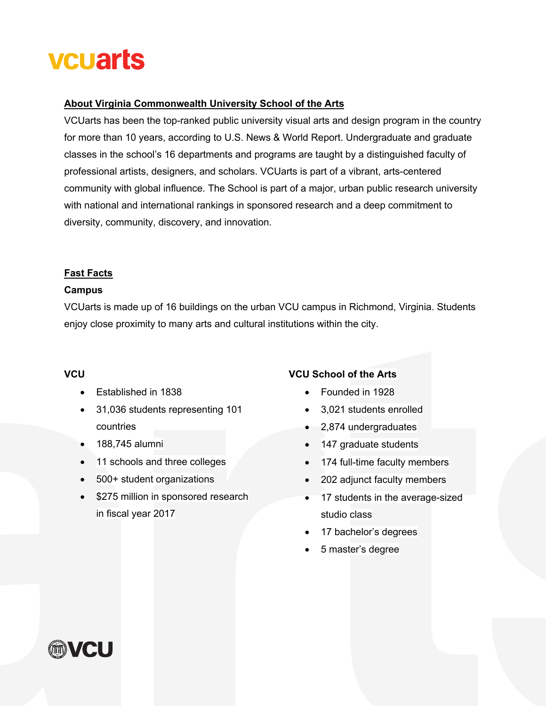# **vcuarts**

#### **About Virginia Commonwealth University School of the Arts**

VCUarts has been the top-ranked public university visual arts and design program in the country for more than 10 years, according to U.S. News & World Report. Undergraduate and graduate classes in the school's 16 departments and programs are taught by a distinguished faculty of professional artists, designers, and scholars. VCUarts is part of a vibrant, arts-centered community with global influence. The School is part of a major, urban public research university with national and international rankings in sponsored research and a deep commitment to diversity, community, discovery, and innovation.

## **Fast Facts**

#### **Campus**

VCUarts is made up of 16 buildings on the urban VCU campus in Richmond, Virginia. Students enjoy close proximity to many arts and cultural institutions within the city.

#### **VCU**

- Established in 1838
- 31,036 students representing 101 countries
- 188,745 alumni
- 11 schools and three colleges
- 500+ student organizations
- \$275 million in sponsored research in fiscal year 2017

# **VCU School of the Arts**

- Founded in 1928
- 3,021 students enrolled
- 2,874 undergraduates
- 147 graduate students
- 174 full-time faculty members
- 202 adjunct faculty members
- 17 students in the average-sized studio class
- 17 bachelor's degrees
- 5 master's degree